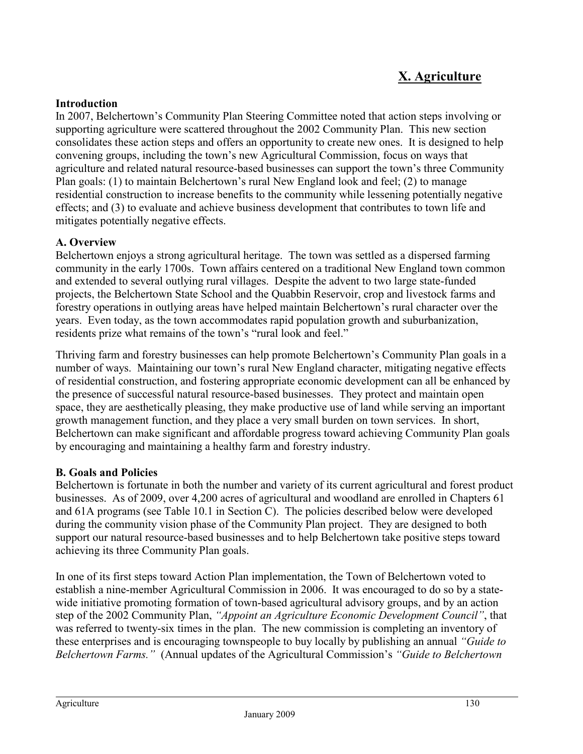# **X. Agriculture**

### **Introduction**

In 2007, Belchertown's Community Plan Steering Committee noted that action steps involving or supporting agriculture were scattered throughout the 2002 Community Plan. This new section consolidates these action steps and offers an opportunity to create new ones. It is designed to help convening groups, including the town's new Agricultural Commission, focus on ways that agriculture and related natural resource-based businesses can support the town's three Community Plan goals: (1) to maintain Belchertown's rural New England look and feel; (2) to manage residential construction to increase benefits to the community while lessening potentially negative effects; and (3) to evaluate and achieve business development that contributes to town life and mitigates potentially negative effects.

#### **A. Overview**

Belchertown enjoys a strong agricultural heritage. The town was settled as a dispersed farming community in the early 1700s. Town affairs centered on a traditional New England town common and extended to several outlying rural villages. Despite the advent to two large state-funded projects, the Belchertown State School and the Quabbin Reservoir, crop and livestock farms and forestry operations in outlying areas have helped maintain Belchertown's rural character over the years. Even today, as the town accommodates rapid population growth and suburbanization, residents prize what remains of the town's "rural look and feel."

Thriving farm and forestry businesses can help promote Belchertown's Community Plan goals in a number of ways. Maintaining our town's rural New England character, mitigating negative effects of residential construction, and fostering appropriate economic development can all be enhanced by the presence of successful natural resource-based businesses. They protect and maintain open space, they are aesthetically pleasing, they make productive use of land while serving an important growth management function, and they place a very small burden on town services. In short, Belchertown can make significant and affordable progress toward achieving Community Plan goals by encouraging and maintaining a healthy farm and forestry industry.

#### **B. Goals and Policies**

Belchertown is fortunate in both the number and variety of its current agricultural and forest product businesses. As of 2009, over 4,200 acres of agricultural and woodland are enrolled in Chapters 61 and 61A programs (see Table 10.1 in Section C). The policies described below were developed during the community vision phase of the Community Plan project. They are designed to both support our natural resource-based businesses and to help Belchertown take positive steps toward achieving its three Community Plan goals.

In one of its first steps toward Action Plan implementation, the Town of Belchertown voted to establish a nine-member Agricultural Commission in 2006. It was encouraged to do so by a statewide initiative promoting formation of town-based agricultural advisory groups, and by an action step of the 2002 Community Plan, *"Appoint an Agriculture Economic Development Council"*, that was referred to twenty-six times in the plan. The new commission is completing an inventory of these enterprises and is encouraging townspeople to buy locally by publishing an annual *"Guide to Belchertown Farms."* (Annual updates of the Agricultural Commission's *"Guide to Belchertown*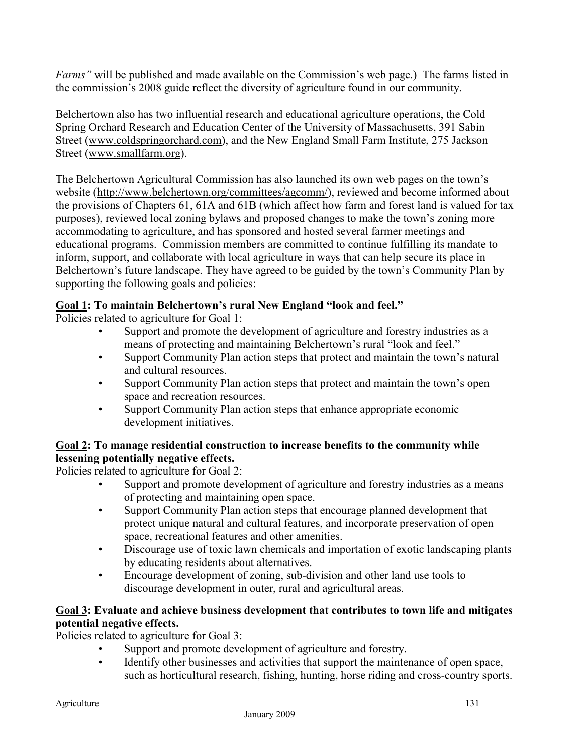*Farms"* will be published and made available on the Commission's web page.) The farms listed in the commission's 2008 guide reflect the diversity of agriculture found in our community.

Belchertown also has two influential research and educational agriculture operations, the Cold Spring Orchard Research and Education Center of the University of Massachusetts, 391 Sabin Street (www.coldspringorchard.com), and the New England Small Farm Institute, 275 Jackson Street (www.smallfarm.org).

The Belchertown Agricultural Commission has also launched its own web pages on the town's website (http://www.belchertown.org/committees/agcomm/), reviewed and become informed about the provisions of Chapters 61, 61A and 61B (which affect how farm and forest land is valued for tax purposes), reviewed local zoning bylaws and proposed changes to make the town's zoning more accommodating to agriculture, and has sponsored and hosted several farmer meetings and educational programs. Commission members are committed to continue fulfilling its mandate to inform, support, and collaborate with local agriculture in ways that can help secure its place in Belchertown's future landscape. They have agreed to be guided by the town's Community Plan by supporting the following goals and policies:

## **Goal 1: To maintain Belchertown's rural New England "look and feel."**

Policies related to agriculture for Goal 1:

- Support and promote the development of agriculture and forestry industries as a means of protecting and maintaining Belchertown's rural "look and feel."
- Support Community Plan action steps that protect and maintain the town's natural and cultural resources.
- Support Community Plan action steps that protect and maintain the town's open space and recreation resources.
- Support Community Plan action steps that enhance appropriate economic development initiatives.

## **Goal 2: To manage residential construction to increase benefits to the community while lessening potentially negative effects.**

Policies related to agriculture for Goal 2:

- Support and promote development of agriculture and forestry industries as a means of protecting and maintaining open space.
- Support Community Plan action steps that encourage planned development that protect unique natural and cultural features, and incorporate preservation of open space, recreational features and other amenities.
- Discourage use of toxic lawn chemicals and importation of exotic landscaping plants by educating residents about alternatives.
- Encourage development of zoning, sub-division and other land use tools to discourage development in outer, rural and agricultural areas.

### **Goal 3: Evaluate and achieve business development that contributes to town life and mitigates potential negative effects.**

Policies related to agriculture for Goal 3:

- Support and promote development of agriculture and forestry.
- Identify other businesses and activities that support the maintenance of open space, such as horticultural research, fishing, hunting, horse riding and cross-country sports.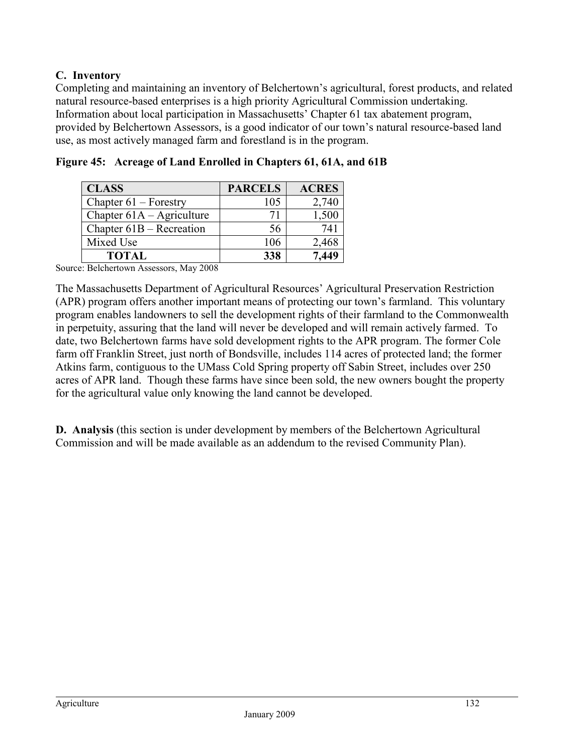## **C. Inventory**

Completing and maintaining an inventory of Belchertown's agricultural, forest products, and related natural resource-based enterprises is a high priority Agricultural Commission undertaking. Information about local participation in Massachusetts' Chapter 61 tax abatement program, provided by Belchertown Assessors, is a good indicator of our town's natural resource-based land use, as most actively managed farm and forestland is in the program.

| <b>CLASS</b>                | <b>PARCELS</b> | <b>ACRES</b> |
|-----------------------------|----------------|--------------|
| Chapter $61$ – Forestry     | 105            | 2,740        |
| Chapter $61A -$ Agriculture | 71             | 1,500        |
| Chapter $61B - Recreaction$ | 56             | 741          |
| Mixed Use                   | 106            | 2,468        |
| <b>TOTAL</b>                | 338            | 7.449        |

**Figure 45: Acreage of Land Enrolled in Chapters 61, 61A, and 61B** 

Source: Belchertown Assessors, May 2008

The Massachusetts Department of Agricultural Resources' Agricultural Preservation Restriction (APR) program offers another important means of protecting our town's farmland. This voluntary program enables landowners to sell the development rights of their farmland to the Commonwealth in perpetuity, assuring that the land will never be developed and will remain actively farmed. To date, two Belchertown farms have sold development rights to the APR program. The former Cole farm off Franklin Street, just north of Bondsville, includes 114 acres of protected land; the former Atkins farm, contiguous to the UMass Cold Spring property off Sabin Street, includes over 250 acres of APR land. Though these farms have since been sold, the new owners bought the property for the agricultural value only knowing the land cannot be developed.

**D.** Analysis (this section is under development by members of the Belchertown Agricultural Commission and will be made available as an addendum to the revised Community Plan).